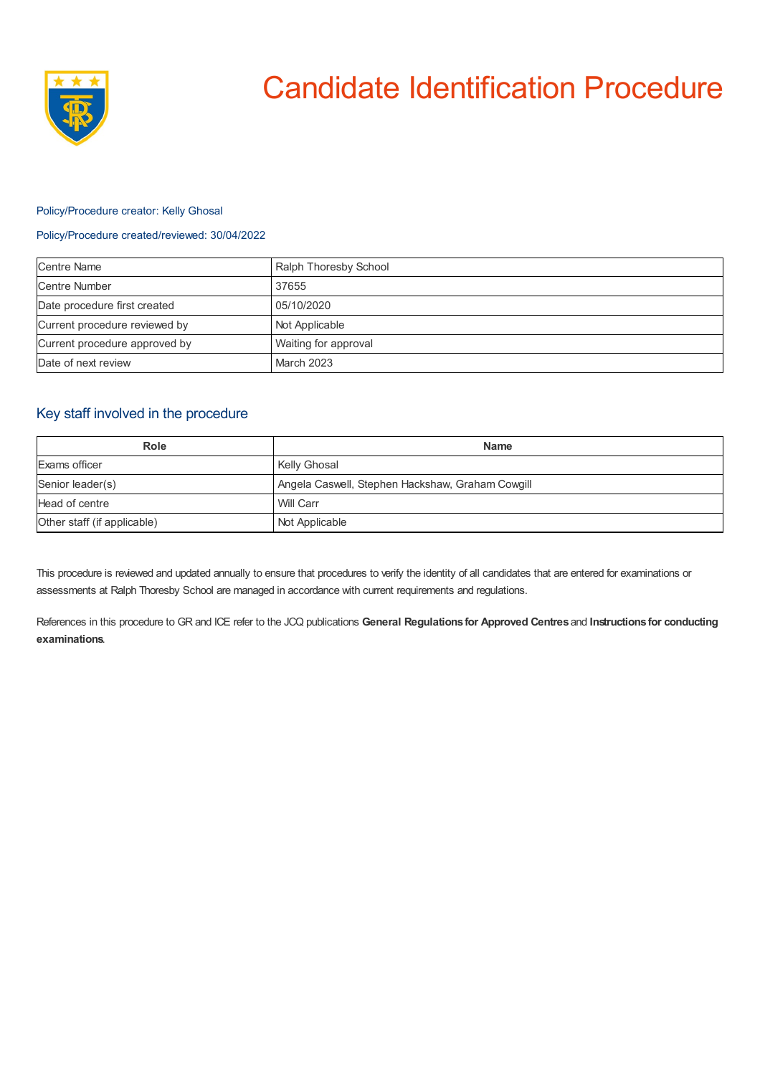

# Candidate Identification Procedure

### Policy/Procedure creator: Kelly Ghosal

## Policy/Procedure created/reviewed: 30/04/2022

| <b>Centre Name</b>            | Ralph Thoresby School |
|-------------------------------|-----------------------|
| Centre Number                 | 37655                 |
| Date procedure first created  | 05/10/2020            |
| Current procedure reviewed by | Not Applicable        |
| Current procedure approved by | Waiting for approval  |
| Date of next review           | March 2023            |

## Key staff involved in the procedure

| <b>Role</b>                 | <b>Name</b>                                      |
|-----------------------------|--------------------------------------------------|
| Exams officer               | Kelly Ghosal                                     |
| Senior leader(s)            | Angela Caswell, Stephen Hackshaw, Graham Cowgill |
| Head of centre              | Will Carr                                        |
| Other staff (if applicable) | Not Applicable                                   |

This procedure is reviewed and updated annually to ensure that procedures to verify the identity of all candidates that are entered for examinations or assessments at Ralph Thoresby School are managed in accordance with current requirements and regulations.

References in this procedure to GR and ICE refer to the JCQ publications **General Regulations for Approved Centres** and **Instructions for conducting examinations**.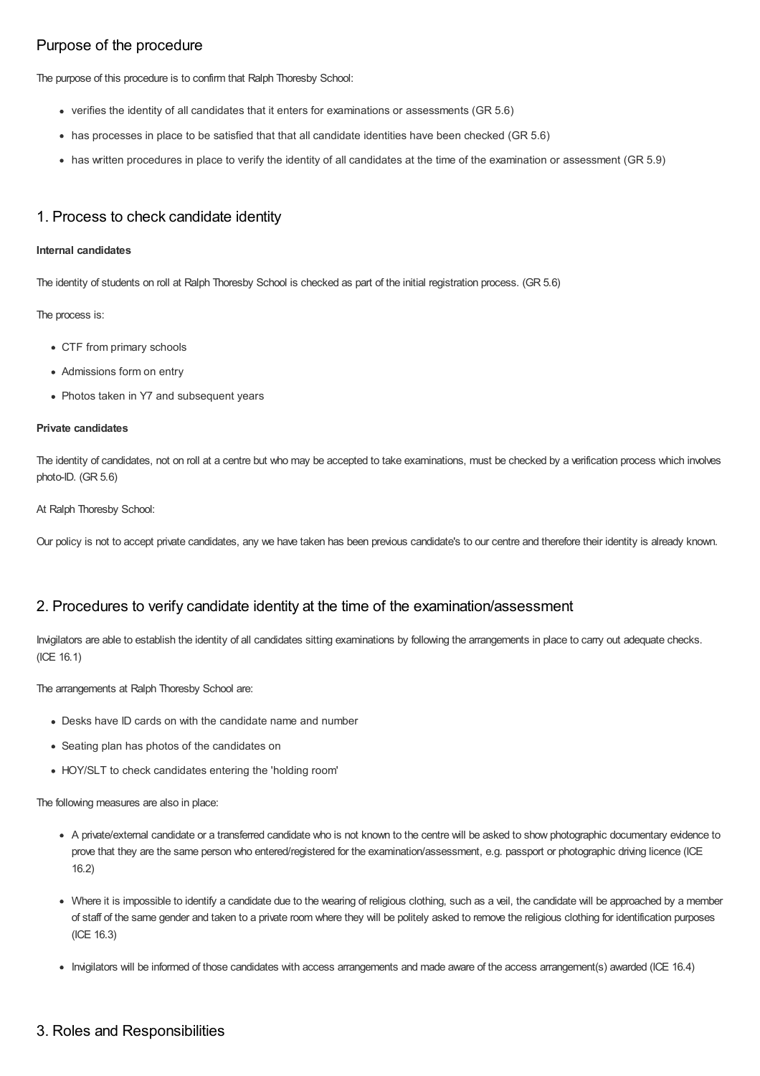# Purpose of the procedure

The purpose of this procedure is to confirm that Ralph Thoresby School:

- verifies the identity of all candidates that it enters for examinations or assessments (GR 5.6)
- has processes in place to be satisfied that that all candidate identities have been checked (GR 5.6)
- has written procedures in place to verify the identity of all candidates at the time of the examination or assessment (GR 5.9)

## 1. Process to check candidate identity

#### **Internal candidates**

The identity of students on roll at Ralph Thoresby School is checked as part of the initial registration process. (GR 5.6)

The process is:

- CTF from primary schools
- Admissions form on entry
- Photos taken in Y7 and subsequent years

#### **Private candidates**

The identity of candidates, not on roll at a centre but who may be accepted to take examinations, must be checked by a verification process which involves photo-ID. (GR 5.6)

#### At Ralph Thoresby School:

Our policy is not to accept private candidates, any we have taken has been previous candidate's to our centre and therefore their identity is already known.

## 2. Procedures to verify candidate identity at the time of the examination/assessment

Invigilators are able to establish the identity of all candidates sitting examinations by following the arrangements in place to carry out adequate checks. (ICE 16.1)

The arrangements at Ralph Thoresby School are:

- Desks have ID cards on with the candidate name and number
- Seating plan has photos of the candidates on
- HOY/SLT to check candidates entering the 'holding room'

The following measures are also in place:

- A private/external candidate or a transferred candidate who is not known to the centre will be asked to show photographic documentary evidence to prove that they are the same person who entered/registered for the examination/assessment, e.g. passport or photographic driving licence (ICE 16.2)
- Where it is impossible to identify a candidate due to the wearing of religious clothing, such as a veil, the candidate will be approached by a member of staff of the same gender and taken to a private room where they will be politely asked to remove the religious clothing for identification purposes (ICE 16.3)
- Invigilators will be informed of those candidates with access arrangements and made aware of the access arrangement(s) awarded (ICE 16.4)

## 3. Roles and Responsibilities